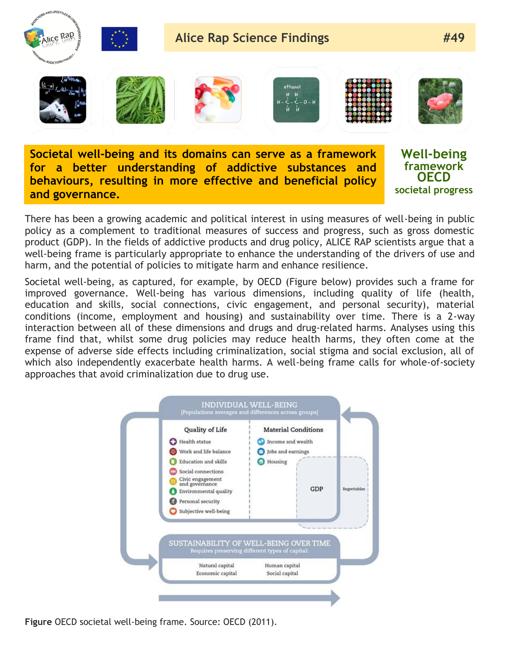

**Societal well-being and its domains can serve as a framework for a better understanding of addictive substances and behaviours, resulting in more effective and beneficial policy and governance.**

**Well-being framework OECD societal progress**

There has been a growing academic and political interest in using measures of well-being in public policy as a complement to traditional measures of success and progress, such as gross domestic product (GDP). In the fields of addictive products and drug policy, ALICE RAP scientists argue that a well-being frame is particularly appropriate to enhance the understanding of the drivers of use and harm, and the potential of policies to mitigate harm and enhance resilience.

Societal well-being, as captured, for example, by OECD (Figure below) provides such a frame for improved governance. Well-being has various dimensions, including quality of life (health, education and skills, social connections, civic engagement, and personal security), material conditions (income, employment and housing) and sustainability over time. There is a 2-way interaction between all of these dimensions and drugs and drug-related harms. Analyses using this frame find that, whilst some drug policies may reduce health harms, they often come at the expense of adverse side effects including criminalization, social stigma and social exclusion, all of which also independently exacerbate health harms. A well-being frame calls for whole-of-society approaches that avoid criminalization due to drug use.



**Figure** OECD societal well-being frame. Source: OECD (2011).